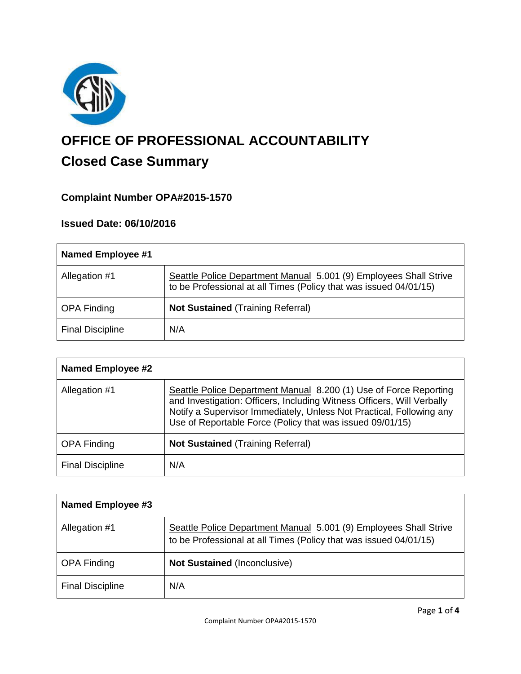

# **OFFICE OF PROFESSIONAL ACCOUNTABILITY Closed Case Summary**

# **Complaint Number OPA#2015-1570**

## **Issued Date: 06/10/2016**

| Named Employee #1       |                                                                                                                                        |
|-------------------------|----------------------------------------------------------------------------------------------------------------------------------------|
| Allegation #1           | Seattle Police Department Manual 5.001 (9) Employees Shall Strive<br>to be Professional at all Times (Policy that was issued 04/01/15) |
| <b>OPA Finding</b>      | <b>Not Sustained (Training Referral)</b>                                                                                               |
| <b>Final Discipline</b> | N/A                                                                                                                                    |

| <b>Named Employee #2</b> |                                                                                                                                                                                                                                                                                  |
|--------------------------|----------------------------------------------------------------------------------------------------------------------------------------------------------------------------------------------------------------------------------------------------------------------------------|
| Allegation #1            | Seattle Police Department Manual 8.200 (1) Use of Force Reporting<br>and Investigation: Officers, Including Witness Officers, Will Verbally<br>Notify a Supervisor Immediately, Unless Not Practical, Following any<br>Use of Reportable Force (Policy that was issued 09/01/15) |
| <b>OPA Finding</b>       | <b>Not Sustained (Training Referral)</b>                                                                                                                                                                                                                                         |
| <b>Final Discipline</b>  | N/A                                                                                                                                                                                                                                                                              |

| <b>Named Employee #3</b> |                                                                                                                                        |
|--------------------------|----------------------------------------------------------------------------------------------------------------------------------------|
| Allegation #1            | Seattle Police Department Manual 5.001 (9) Employees Shall Strive<br>to be Professional at all Times (Policy that was issued 04/01/15) |
| <b>OPA Finding</b>       | <b>Not Sustained (Inconclusive)</b>                                                                                                    |
| <b>Final Discipline</b>  | N/A                                                                                                                                    |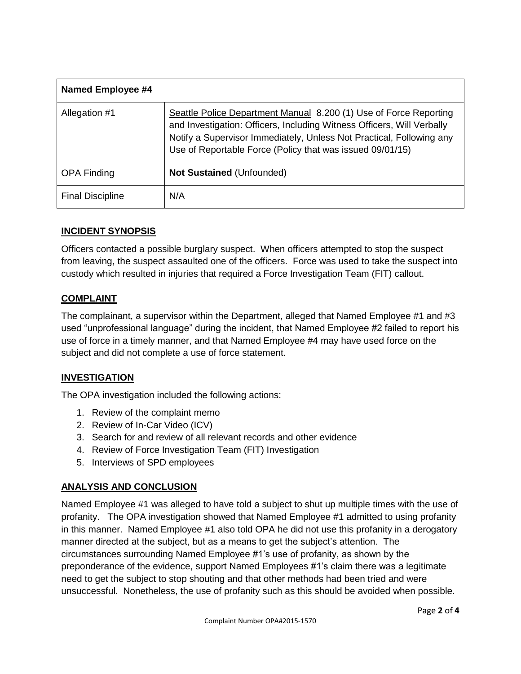| <b>Named Employee #4</b> |                                                                                                                                                                                                                                                                                  |
|--------------------------|----------------------------------------------------------------------------------------------------------------------------------------------------------------------------------------------------------------------------------------------------------------------------------|
| Allegation #1            | Seattle Police Department Manual 8.200 (1) Use of Force Reporting<br>and Investigation: Officers, Including Witness Officers, Will Verbally<br>Notify a Supervisor Immediately, Unless Not Practical, Following any<br>Use of Reportable Force (Policy that was issued 09/01/15) |
| <b>OPA Finding</b>       | <b>Not Sustained (Unfounded)</b>                                                                                                                                                                                                                                                 |
| <b>Final Discipline</b>  | N/A                                                                                                                                                                                                                                                                              |

## **INCIDENT SYNOPSIS**

Officers contacted a possible burglary suspect. When officers attempted to stop the suspect from leaving, the suspect assaulted one of the officers. Force was used to take the suspect into custody which resulted in injuries that required a Force Investigation Team (FIT) callout.

## **COMPLAINT**

The complainant, a supervisor within the Department, alleged that Named Employee #1 and #3 used "unprofessional language" during the incident, that Named Employee #2 failed to report his use of force in a timely manner, and that Named Employee #4 may have used force on the subject and did not complete a use of force statement.

## **INVESTIGATION**

The OPA investigation included the following actions:

- 1. Review of the complaint memo
- 2. Review of In-Car Video (ICV)
- 3. Search for and review of all relevant records and other evidence
- 4. Review of Force Investigation Team (FIT) Investigation
- 5. Interviews of SPD employees

## **ANALYSIS AND CONCLUSION**

Named Employee #1 was alleged to have told a subject to shut up multiple times with the use of profanity. The OPA investigation showed that Named Employee #1 admitted to using profanity in this manner. Named Employee #1 also told OPA he did not use this profanity in a derogatory manner directed at the subject, but as a means to get the subject's attention. The circumstances surrounding Named Employee #1's use of profanity, as shown by the preponderance of the evidence, support Named Employees #1's claim there was a legitimate need to get the subject to stop shouting and that other methods had been tried and were unsuccessful. Nonetheless, the use of profanity such as this should be avoided when possible.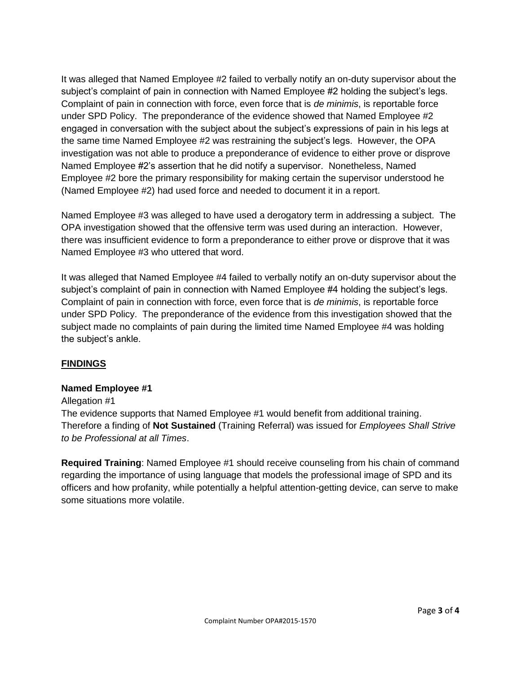It was alleged that Named Employee #2 failed to verbally notify an on-duty supervisor about the subject's complaint of pain in connection with Named Employee #2 holding the subject's legs. Complaint of pain in connection with force, even force that is *de minimis*, is reportable force under SPD Policy. The preponderance of the evidence showed that Named Employee #2 engaged in conversation with the subject about the subject's expressions of pain in his legs at the same time Named Employee #2 was restraining the subject's legs. However, the OPA investigation was not able to produce a preponderance of evidence to either prove or disprove Named Employee #2's assertion that he did notify a supervisor. Nonetheless, Named Employee #2 bore the primary responsibility for making certain the supervisor understood he (Named Employee #2) had used force and needed to document it in a report.

Named Employee #3 was alleged to have used a derogatory term in addressing a subject. The OPA investigation showed that the offensive term was used during an interaction. However, there was insufficient evidence to form a preponderance to either prove or disprove that it was Named Employee #3 who uttered that word.

It was alleged that Named Employee #4 failed to verbally notify an on-duty supervisor about the subject's complaint of pain in connection with Named Employee #4 holding the subject's legs. Complaint of pain in connection with force, even force that is *de minimis*, is reportable force under SPD Policy. The preponderance of the evidence from this investigation showed that the subject made no complaints of pain during the limited time Named Employee #4 was holding the subject's ankle.

## **FINDINGS**

### **Named Employee #1**

### Allegation #1

The evidence supports that Named Employee #1 would benefit from additional training. Therefore a finding of **Not Sustained** (Training Referral) was issued for *Employees Shall Strive to be Professional at all Times*.

**Required Training**: Named Employee #1 should receive counseling from his chain of command regarding the importance of using language that models the professional image of SPD and its officers and how profanity, while potentially a helpful attention-getting device, can serve to make some situations more volatile.